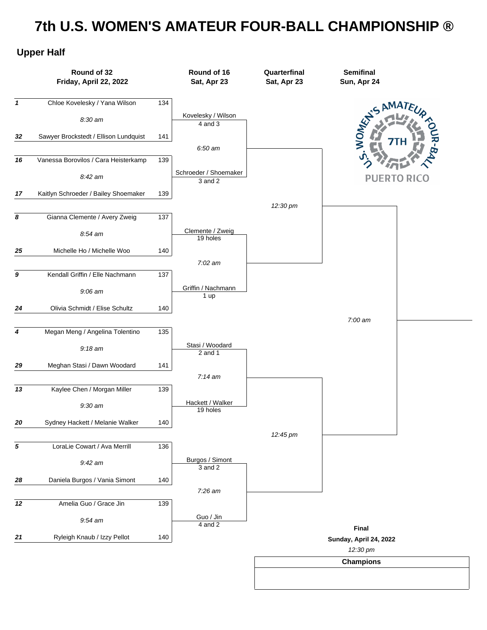## **7th U.S. WOMEN'S AMATEUR FOUR-BALL CHAMPIONSHIP ®**

## **Upper Half**